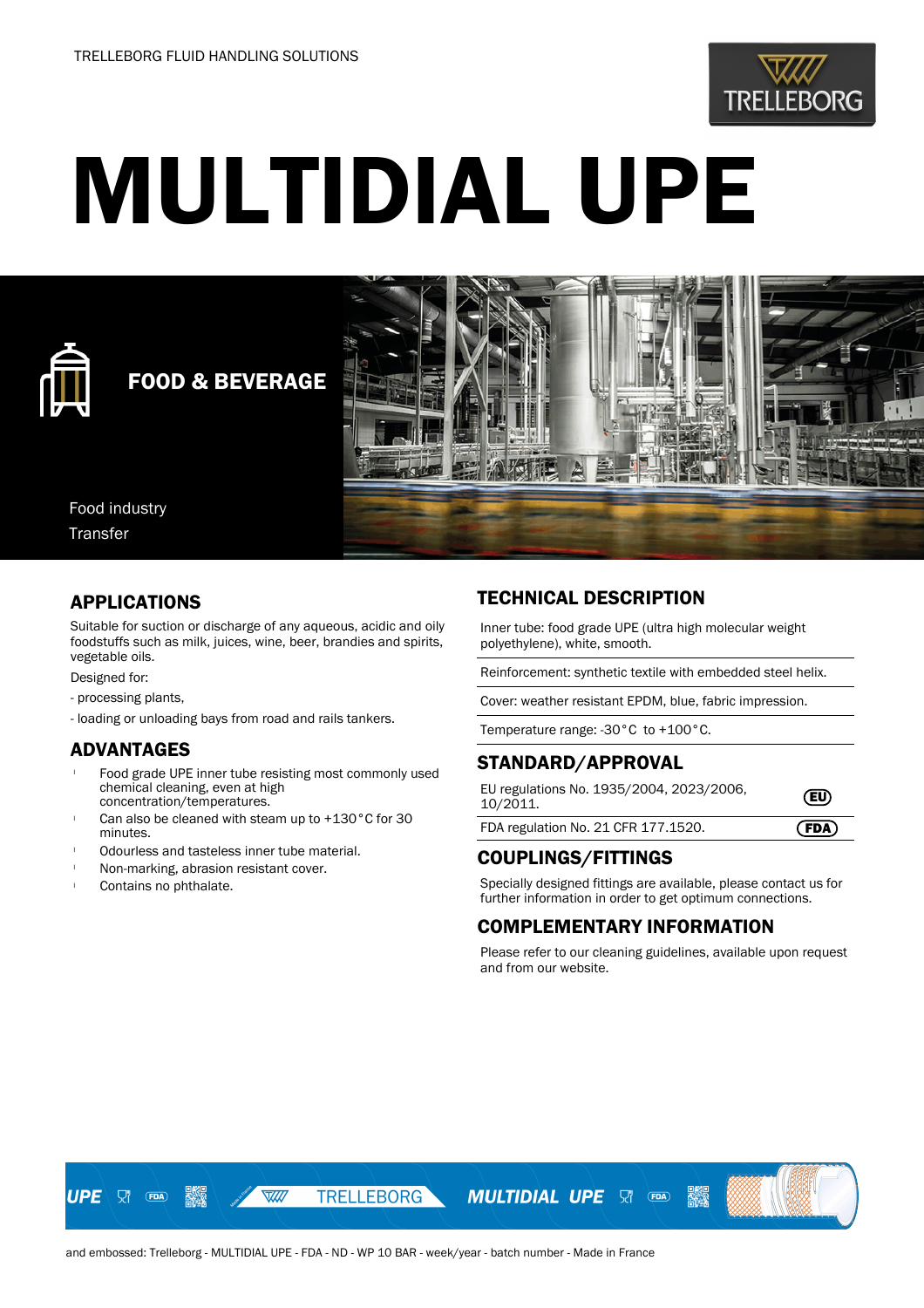

# MULTIDIAL UPE



## FOOD & BEVERAGE



Food industry Transfer

#### APPLICATIONS

Suitable for suction or discharge of any aqueous, acidic and oily foodstuffs such as milk, juices, wine, beer, brandies and spirits, vegetable oils.

Designed for:

- processing plants,
- loading or unloading bays from road and rails tankers.

### ADVANTAGES

- Food grade UPE inner tube resisting most commonly used chemical cleaning, even at high concentration/temperatures.
- Can also be cleaned with steam up to  $+130\degree$ C for 30 minutes.
- Odourless and tasteless inner tube material.
- <sup>l</sup> Non-marking, abrasion resistant cover.
- Contains no phthalate.

#### TECHNICAL DESCRIPTION

Inner tube: food grade UPE (ultra high molecular weight polyethylene), white, smooth.

Reinforcement: synthetic textile with embedded steel helix.

Cover: weather resistant EPDM, blue, fabric impression.

Temperature range: -30°C to +100°C.

#### STANDARD/APPROVAL

| EU regulations No. 1935/2004, 2023/2006,<br>10/2011. | $\left($ EU) |
|------------------------------------------------------|--------------|
| FDA regulation No. 21 CFR 177.1520.                  | (FDA)        |

### COUPLINGS/FITTINGS

Specially designed fittings are available, please contact us for further information in order to get optimum connections.

### COMPLEMENTARY INFORMATION

Please refer to our cleaning guidelines, available upon request and from our website.